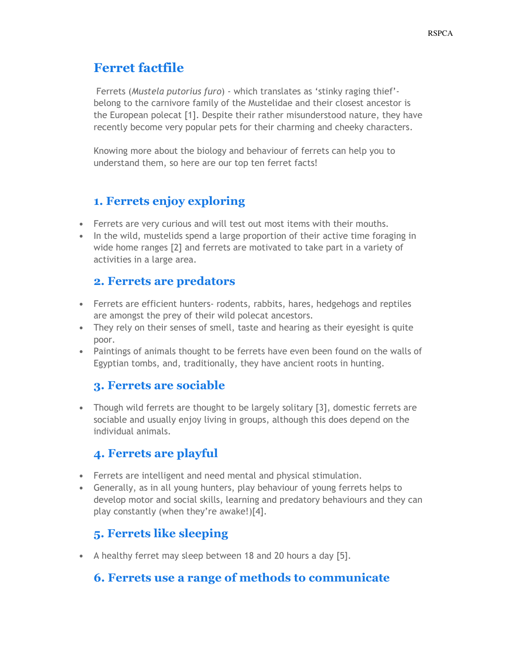# Ferret factfile

 Ferrets (Mustela putorius furo) - which translates as 'stinky raging thief' belong to the carnivore family of the Mustelidae and their closest ancestor is the European polecat [1]. Despite their rather misunderstood nature, they have recently become very popular pets for their charming and cheeky characters.

Knowing more about the biology and behaviour of ferrets can help you to understand them, so here are our top ten ferret facts!

## 1. Ferrets enjoy exploring

- Ferrets are very curious and will test out most items with their mouths.
- In the wild, mustelids spend a large proportion of their active time foraging in wide home ranges [2] and ferrets are motivated to take part in a variety of activities in a large area.

## 2. Ferrets are predators

- Ferrets are efficient hunters- rodents, rabbits, hares, hedgehogs and reptiles are amongst the prey of their wild polecat ancestors.
- They rely on their senses of smell, taste and hearing as their eyesight is quite poor.
- Paintings of animals thought to be ferrets have even been found on the walls of Egyptian tombs, and, traditionally, they have ancient roots in hunting.

## 3. Ferrets are sociable

• Though wild ferrets are thought to be largely solitary [3], domestic ferrets are sociable and usually enjoy living in groups, although this does depend on the individual animals.

## 4. Ferrets are playful

- Ferrets are intelligent and need mental and physical stimulation.
- Generally, as in all young hunters, play behaviour of young ferrets helps to develop motor and social skills, learning and predatory behaviours and they can play constantly (when they're awake!)[4].

# 5. Ferrets like sleeping

• A healthy ferret may sleep between 18 and 20 hours a day [5].

## 6. Ferrets use a range of methods to communicate